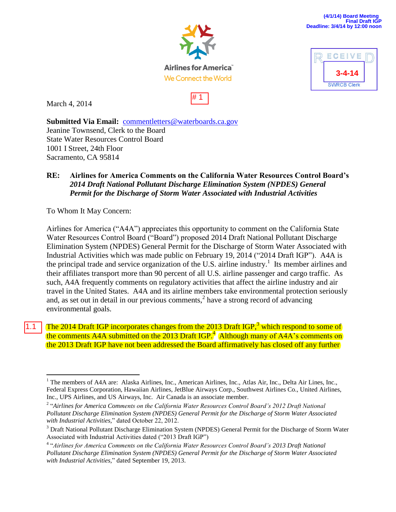

ECEIV



# 1

March 4, 2014

**3-4-14 SWRCB Clerk** 

**Submitted Via Email:** [commentletters@waterboards.ca.gov](mailto:commentletters@waterboards.ca.gov) Jeanine Townsend, Clerk to the Board State Water Resources Control Board 1001 I Street, 24th Floor Sacramento, CA 95814

## **RE: Airlines for America Comments on the California Water Resources Control Board's**  *2014 Draft National Pollutant Discharge Elimination System (NPDES) General Permit for the Discharge of Storm Water Associated with Industrial Activities*

To Whom It May Concern:

 $\overline{a}$ 

Airlines for America ("A4A") appreciates this opportunity to comment on the California State Water Resources Control Board ("Board") proposed 2014 Draft National Pollutant Discharge Elimination System (NPDES) General Permit for the Discharge of Storm Water Associated with Industrial Activities which was made public on February 19, 2014 ("2014 Draft IGP"). A4A is the principal trade and service organization of the U.S. airline industry.<sup>1</sup> Its member airlines and their affiliates transport more than 90 percent of all U.S. airline passenger and cargo traffic. As such, A4A frequently comments on regulatory activities that affect the airline industry and air travel in the United States. A4A and its airline members take environmental protection seriously and, as set out in detail in our previous comments,<sup>2</sup> have a strong record of advancing environmental goals.

The 2014 Draft IGP incorporates changes from the 2013 Draft IGP,<sup>3</sup> which respond to some of the comments A4A submitted on the  $2013$  Draft IGP.<sup>4</sup> (Although many of A4A's comments on the 2013 Draft IGP have not been addressed the Board affirmatively has closed off any further 1.1

<sup>&</sup>lt;sup>1</sup> The members of A4A are: Alaska Airlines, Inc., American Airlines, Inc., Atlas Air, Inc., Delta Air Lines, Inc., Federal Express Corporation, Hawaiian Airlines, JetBlue Airways Corp., Southwest Airlines Co., United Airlines, Inc., UPS Airlines, and US Airways, Inc. Air Canada is an associate member.

<sup>2</sup> "*Airlines for America Comments on the California Water Resources Control Board's 2012 Draft National Pollutant Discharge Elimination System (NPDES) General Permit for the Discharge of Storm Water Associated with Industrial Activities,*" dated October 22, 2012.

<sup>3</sup> Draft National Pollutant Discharge Elimination System (NPDES) General Permit for the Discharge of Storm Water Associated with Industrial Activities dated ("2013 Draft IGP")

<sup>4</sup> "*Airlines for America Comments on the California Water Resources Control Board's 2013 Draft National Pollutant Discharge Elimination System (NPDES) General Permit for the Discharge of Storm Water Associated with Industrial Activities,*" dated September 19, 2013.